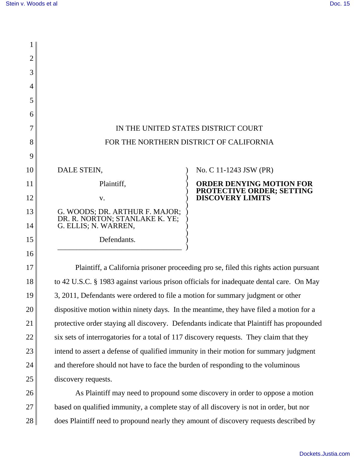1

21

22

23

24

25

26

27

| 2  |                                                                                         |                                                                                       |
|----|-----------------------------------------------------------------------------------------|---------------------------------------------------------------------------------------|
| 3  |                                                                                         |                                                                                       |
| 4  |                                                                                         |                                                                                       |
| 5  |                                                                                         |                                                                                       |
| 6  |                                                                                         |                                                                                       |
|    |                                                                                         | IN THE UNITED STATES DISTRICT COURT                                                   |
| 8  |                                                                                         | FOR THE NORTHERN DISTRICT OF CALIFORNIA                                               |
| 9  |                                                                                         |                                                                                       |
| 10 | DALE STEIN,                                                                             | No. C 11-1243 JSW (PR)                                                                |
| 11 | Plaintiff,                                                                              | <b>ORDER DENYING MOTION FOR</b>                                                       |
| 12 | V.                                                                                      | PROTECTIVE ORDER; SETTING<br>DISCOVERY LIMITS                                         |
| 13 | G. WOODS; DR. ARTHUR F. MAJOR;<br>DR. R. NORTON; STANLAKE K. YE;                        |                                                                                       |
| 14 | G. ELLIS; N. WARREN,                                                                    |                                                                                       |
| 15 | Defendants.                                                                             |                                                                                       |
| 16 |                                                                                         |                                                                                       |
| 17 |                                                                                         | Plaintiff, a California prisoner proceeding pro se, filed this rights action pursuant |
| 18 | to 42 U.S.C. § 1983 against various prison officials for inadequate dental care. On May |                                                                                       |
| 19 | 3, 2011, Defendants were ordered to file a motion for summary judgment or other         |                                                                                       |
| 20 | dispositive motion within ninety days. In the meantime, they have filed a motion for a  |                                                                                       |

dispositive motion within ninety days. In the meantime, they have filed a motion for a protective order staying all discovery. Defendants indicate that Plaintiff has propounded six sets of interrogatories for a total of 117 discovery requests. They claim that they intend to assert a defense of qualified immunity in their motion for summary judgment and therefore should not have to face the burden of responding to the voluminous discovery requests.

28 As Plaintiff may need to propound some discovery in order to oppose a motion based on qualified immunity, a complete stay of all discovery is not in order, but nor does Plaintiff need to propound nearly they amount of discovery requests described by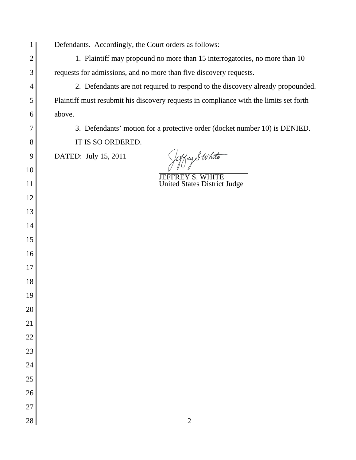| 1              | Defendants. Accordingly, the Court orders as follows:                                  |  |
|----------------|----------------------------------------------------------------------------------------|--|
| $\overline{2}$ | 1. Plaintiff may propound no more than 15 interrogatories, no more than 10             |  |
| 3              | requests for admissions, and no more than five discovery requests.                     |  |
| 4              | 2. Defendants are not required to respond to the discovery already propounded.         |  |
| 5              | Plaintiff must resubmit his discovery requests in compliance with the limits set forth |  |
| 6              | above.                                                                                 |  |
| 7              | 3. Defendants' motion for a protective order (docket number 10) is DENIED.             |  |
| 8              | IT IS SO ORDERED.                                                                      |  |
| 9              | Jetfuy Swhite<br>DATED: July 15, 2011                                                  |  |
| 10             | <b>JEFFREY S. WHITE</b>                                                                |  |
| 11             | <b>United States District Judge</b>                                                    |  |
| 12             |                                                                                        |  |
| 13             |                                                                                        |  |
| 14             |                                                                                        |  |
| 15             |                                                                                        |  |
| 16             |                                                                                        |  |
| 17             |                                                                                        |  |
| 18             |                                                                                        |  |
| 19             |                                                                                        |  |
| 20             |                                                                                        |  |
| 21             |                                                                                        |  |
| 22             |                                                                                        |  |
| 23             |                                                                                        |  |
| 24             |                                                                                        |  |
| 25             |                                                                                        |  |
| 26             |                                                                                        |  |
| 27             |                                                                                        |  |
| 28             | $\overline{2}$                                                                         |  |